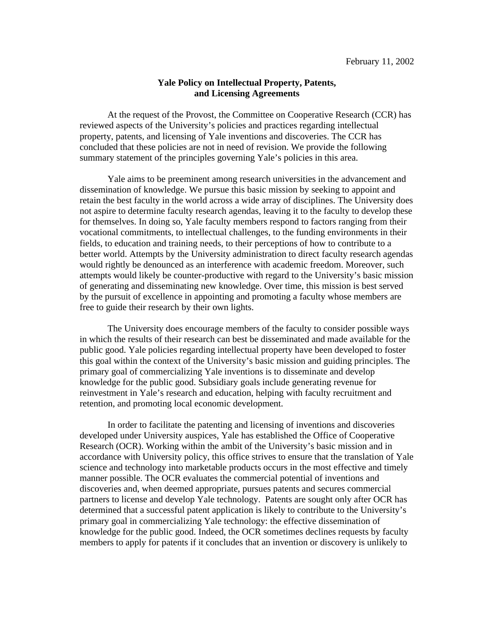## **Yale Policy on Intellectual Property, Patents, and Licensing Agreements**

At the request of the Provost, the Committee on Cooperative Research (CCR) has reviewed aspects of the University's policies and practices regarding intellectual property, patents, and licensing of Yale inventions and discoveries. The CCR has concluded that these policies are not in need of revision. We provide the following summary statement of the principles governing Yale's policies in this area.

Yale aims to be preeminent among research universities in the advancement and dissemination of knowledge. We pursue this basic mission by seeking to appoint and retain the best faculty in the world across a wide array of disciplines. The University does not aspire to determine faculty research agendas, leaving it to the faculty to develop these for themselves. In doing so, Yale faculty members respond to factors ranging from their vocational commitments, to intellectual challenges, to the funding environments in their fields, to education and training needs, to their perceptions of how to contribute to a better world. Attempts by the University administration to direct faculty research agendas would rightly be denounced as an interference with academic freedom. Moreover, such attempts would likely be counter-productive with regard to the University's basic mission of generating and disseminating new knowledge. Over time, this mission is best served by the pursuit of excellence in appointing and promoting a faculty whose members are free to guide their research by their own lights.

The University does encourage members of the faculty to consider possible ways in which the results of their research can best be disseminated and made available for the public good. Yale policies regarding intellectual property have been developed to foster this goal within the context of the University's basic mission and guiding principles. The primary goal of commercializing Yale inventions is to disseminate and develop knowledge for the public good. Subsidiary goals include generating revenue for reinvestment in Yale's research and education, helping with faculty recruitment and retention, and promoting local economic development.

In order to facilitate the patenting and licensing of inventions and discoveries developed under University auspices, Yale has established the Office of Cooperative Research (OCR). Working within the ambit of the University's basic mission and in accordance with University policy, this office strives to ensure that the translation of Yale science and technology into marketable products occurs in the most effective and timely manner possible. The OCR evaluates the commercial potential of inventions and discoveries and, when deemed appropriate, pursues patents and secures commercial partners to license and develop Yale technology. Patents are sought only after OCR has determined that a successful patent application is likely to contribute to the University's primary goal in commercializing Yale technology: the effective dissemination of knowledge for the public good. Indeed, the OCR sometimes declines requests by faculty members to apply for patents if it concludes that an invention or discovery is unlikely to